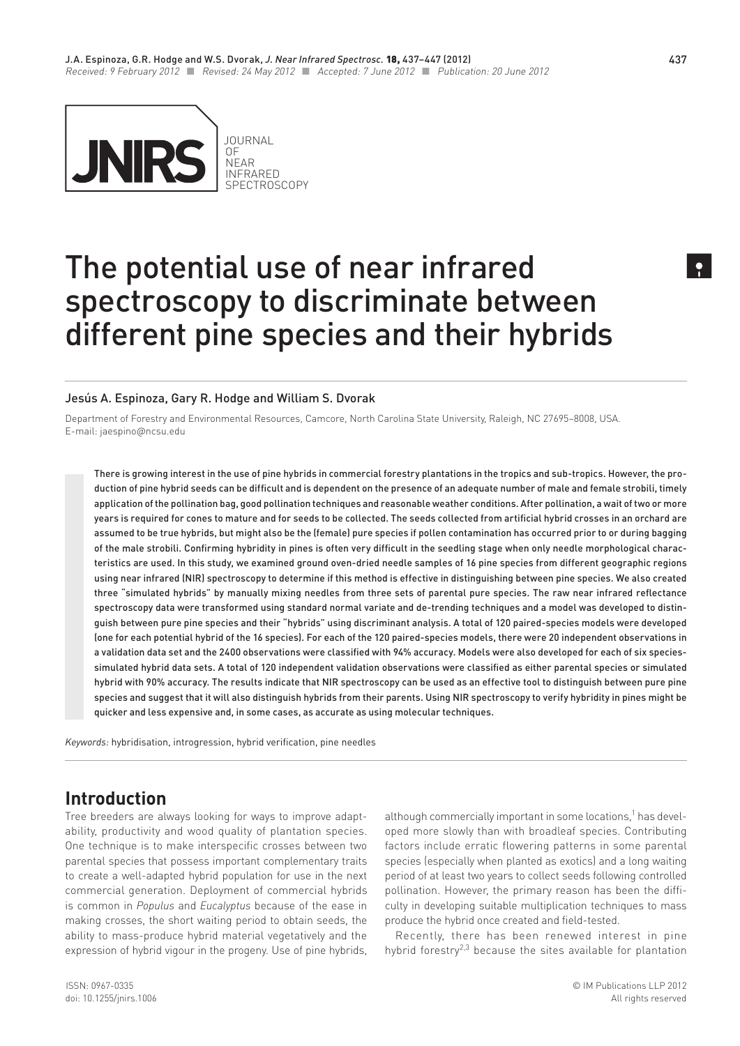

# The potential use of near infrared spectroscopy to discriminate between different pine species and their hybrids

#### Jesús A. Espinoza, [Gary R. Hodge a](http://www.ncsu.edu/directory/moreinfo.php?username=allenl)nd William S. Dvorak

Department of Forestry and Environmental Resources, Camcore, North Carolina State University, Raleigh, NC 27695–8008, USA. E-mail: [jaespino@ncsu.edu](mailto:jaespino@ncsu.edu)

There is growing interest in the use of pine hybrids in commercial forestry plantations in the tropics and sub-tropics. However, the production of pine hybrid seeds can be difficult and is dependent on the presence of an adequate number of male and female strobili, timely application of the pollination bag, good pollination techniques and reasonable weather conditions. After pollination, a wait of two or more years is required for cones to mature and for seeds to be collected. The seeds collected from artificial hybrid crosses in an orchard are assumed to be true hybrids, but might also be the (female) pure species if pollen contamination has occurred prior to or during bagging of the male strobili. Confirming hybridity in pines is often very difficult in the seedling stage when only needle morphological characteristics are used. In this study, we examined ground oven-dried needle samples of 16 pine species from different geographic regions using near infrared (NIR) spectroscopy to determine if this method is effective in distinguishing between pine species. We also created three "simulated hybrids" by manually mixing needles from three sets of parental pure species. The raw near infrared reflectance spectroscopy data were transformed using standard normal variate and de-trending techniques and a model was developed to distinguish between pure pine species and their "hybrids" using discriminant analysis. A total of 120 paired-species models were developed (one for each potential hybrid of the 16 species). For each of the 120 paired-species models, there were 20 independent observations in a validation data set and the 2400 observations were classified with 94% accuracy. Models were also developed for each of six speciessimulated hybrid data sets. A total of 120 independent validation observations were classified as either parental species or simulated hybrid with 90% accuracy. The results indicate that NIR spectroscopy can be used as an effective tool to distinguish between pure pine species and suggest that it will also distinguish hybrids from their parents. Using NIR spectroscopy to verify hybridity in pines might be quicker and less expensive and, in some cases, as accurate as using molecular techniques.

*Keywords:* hybridisation, introgression, hybrid verification, pine needles

# **Introduction**

Tree breeders are always looking for ways to improve adaptability, productivity and wood quality of plantation species. One technique is to make interspecific crosses between two parental species that possess important complementary traits to create a well-adapted hybrid population for use in the next commercial generation. Deployment of commercial hybrids is common in *Populus* and *Eucalyptus* because of the ease in making crosses, the short waiting period to obtain seeds, the ability to mass-produce hybrid material vegetatively and the expression of hybrid vigour in the progeny. Use of pine hybrids, although commercially important in some locations,<sup>1</sup> has developed more slowly than with broadleaf species. Contributing factors include erratic flowering patterns in some parental species (especially when planted as exotics) and a long waiting period of at least two years to collect seeds following controlled pollination. However, the primary reason has been the difficulty in developing suitable multiplication techniques to mass produce the hybrid once created and field-tested.

Recently, there has been renewed interest in pine hybrid forestry $^{2,3}$  because the sites available for plantation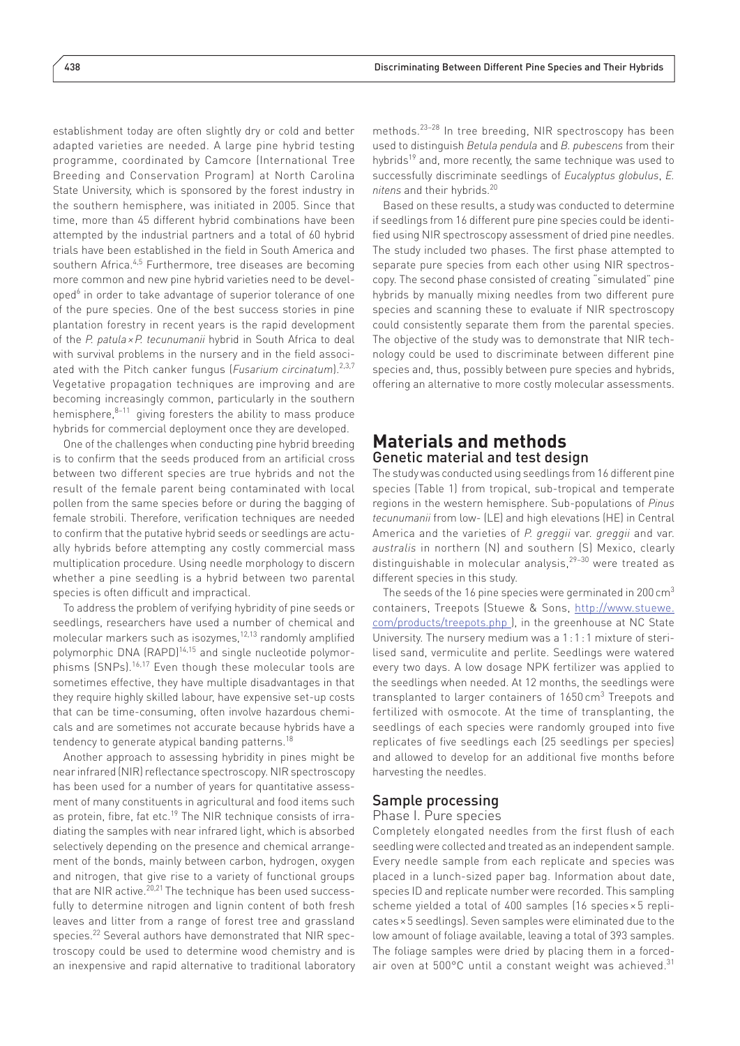establishment today are often slightly dry or cold and better adapted varieties are needed. A large pine hybrid testing programme, coordinated by Camcore (International Tree Breeding and Conservation Program) at North Carolina State University, which is sponsored by the forest industry in the southern hemisphere, was initiated in 2005. Since that time, more than 45 different hybrid combinations have been attempted by the industrial partners and a total of 60 hybrid trials have been established in the field in South America and southern Africa.4,5 Furthermore, tree diseases are becoming more common and new pine hybrid varieties need to be developed<sup>6</sup> in order to take advantage of superior tolerance of one of the pure species. One of the best success stories in pine plantation forestry in recent years is the rapid development of the *P. patula ×P. tecunumanii* hybrid in South Africa to deal with survival problems in the nursery and in the field associated with the Pitch canker fungus (*Fusarium circinatum*).2,3,7 Vegetative propagation techniques are improving and are becoming increasingly common, particularly in the southern hemisphere, $8-11$  giving foresters the ability to mass produce hybrids for commercial deployment once they are developed.

One of the challenges when conducting pine hybrid breeding is to confirm that the seeds produced from an artificial cross between two different species are true hybrids and not the result of the female parent being contaminated with local pollen from the same species before or during the bagging of female strobili. Therefore, verification techniques are needed to confirm that the putative hybrid seeds or seedlings are actually hybrids before attempting any costly commercial mass multiplication procedure. Using needle morphology to discern whether a pine seedling is a hybrid between two parental species is often difficult and impractical.

To address the problem of verifying hybridity of pine seeds or seedlings, researchers have used a number of chemical and molecular markers such as isozymes,12,13 randomly amplified polymorphic DNA (RAPD)<sup>14,15</sup> and single nucleotide polymorphisms (SNPs).16,17 Even though these molecular tools are sometimes effective, they have multiple disadvantages in that they require highly skilled labour, have expensive set-up costs that can be time-consuming, often involve hazardous chemicals and are sometimes not accurate because hybrids have a tendency to generate atypical banding patterns.<sup>18</sup>

Another approach to assessing hybridity in pines might be near infrared (NIR) reflectance spectroscopy. NIR spectroscopy has been used for a number of years for quantitative assessment of many constituents in agricultural and food items such as protein, fibre, fat etc.<sup>19</sup> The NIR technique consists of irradiating the samples with near infrared light, which is absorbed selectively depending on the presence and chemical arrangement of the bonds, mainly between carbon, hydrogen, oxygen and nitrogen, that give rise to a variety of functional groups that are NIR active.<sup>20,21</sup> The technique has been used successfully to determine nitrogen and lignin content of both fresh leaves and litter from a range of forest tree and grassland species.22 Several authors have demonstrated that NIR spectroscopy could be used to determine wood chemistry and is an inexpensive and rapid alternative to traditional laboratory methods.23–28 In tree breeding, NIR spectroscopy has been used to distinguish *Betula pendula* and *B. pubescens* from their hybrids<sup>19</sup> and, more recently, the same technique was used to successfully discriminate seedlings of *Eucalyptus globulus*, *E. nitens* and their hybrids.20

Based on these results, a study was conducted to determine if seedlings from 16 different pure pine species could be identified using NIR spectroscopy assessment of dried pine needles. The study included two phases. The first phase attempted to separate pure species from each other using NIR spectroscopy. The second phase consisted of creating "simulated" pine hybrids by manually mixing needles from two different pure species and scanning these to evaluate if NIR spectroscopy could consistently separate them from the parental species. The objective of the study was to demonstrate that NIR technology could be used to discriminate between different pine species and, thus, possibly between pure species and hybrids, offering an alternative to more costly molecular assessments.

## **Materials and methods** Genetic material and test design

The study was conducted using seedlings from 16 different pine species (Table 1) from tropical, sub-tropical and temperate regions in the western hemisphere. Sub-populations of *Pinus tecunumanii* from low- (LE) and high elevations (HE) in Central America and the varieties of *P. greggii* var. *greggii* and var. *australis* in northern (N) and southern (S) Mexico, clearly distinguishable in molecular analysis,29–30 were treated as different species in this study.

The seeds of the 16 pine species were germinated in 200  $\text{cm}^3$ containers, Treepots (Stuewe & Sons, [http://www.stuewe.](http://www.stuewe.com/products/treepots.php) [com/products/treepots.php](http://www.stuewe.com/products/treepots.php) ), in the greenhouse at NC State University. The nursery medium was a 1:1:1 mixture of sterilised sand, vermiculite and perlite. Seedlings were watered every two days. A low dosage NPK fertilizer was applied to the seedlings when needed. At 12 months, the seedlings were transplanted to larger containers of 1650 cm<sup>3</sup> Treepots and fertilized with osmocote. At the time of transplanting, the seedlings of each species were randomly grouped into five replicates of five seedlings each (25 seedlings per species) and allowed to develop for an additional five months before harvesting the needles.

#### Sample processing

Phase I. Pure species

Completely elongated needles from the first flush of each seedling were collected and treated as an independent sample. Every needle sample from each replicate and species was placed in a lunch-sized paper bag. Information about date, species ID and replicate number were recorded. This sampling scheme yielded a total of 400 samples (16 species × 5 replicates×5 seedlings). Seven samples were eliminated due to the low amount of foliage available, leaving a total of 393 samples. The foliage samples were dried by placing them in a forcedair oven at  $500^{\circ}$ C until a constant weight was achieved.<sup>31</sup>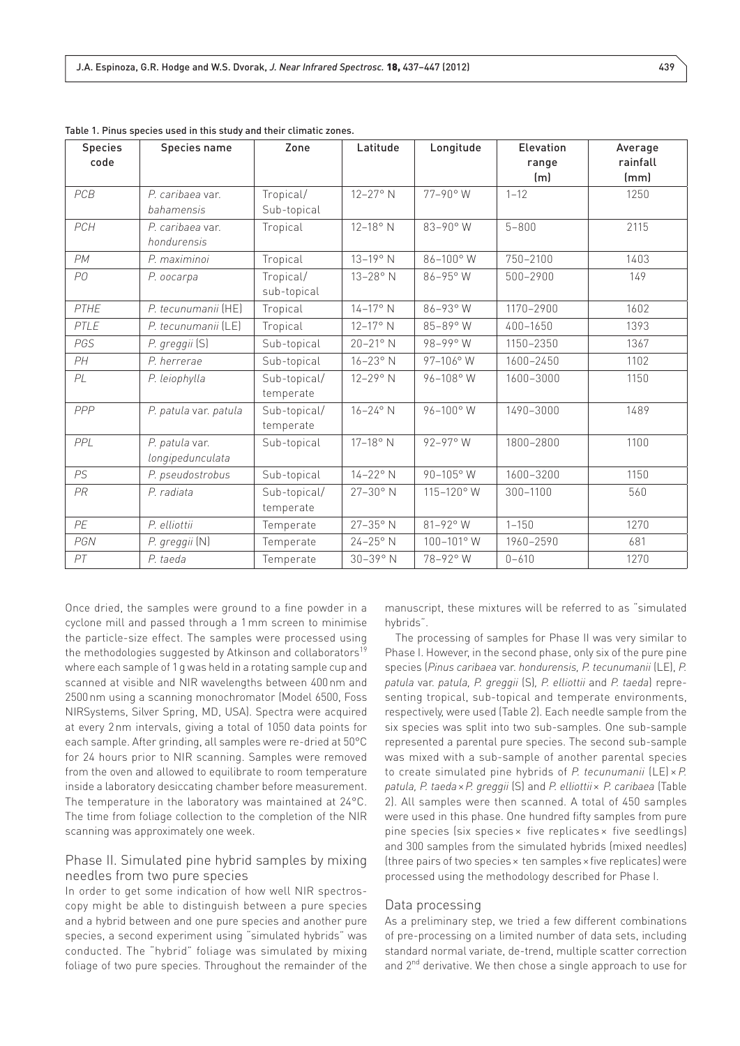| <b>Species</b><br>code | <b>Species name</b>                | Zone                      | Latitude            | Longitude    | Elevation<br>range<br>(m) | Average<br>rainfall<br>(mm) |
|------------------------|------------------------------------|---------------------------|---------------------|--------------|---------------------------|-----------------------------|
| PCB                    | P. caribaea var.<br>bahamensis     | Tropical/<br>Sub-topical  | 12-27° N            | 77-90° W     | $1 - 12$                  | 1250                        |
| PCH                    | P. caribaea var.<br>hondurensis    | Tropical                  | 12-18° N            | 83-90° W     | $5 - 800$                 | 2115                        |
| PM                     | P. maximinoi                       | Tropical                  | $13 - 19^{\circ}$ N | 86-100°W     | 750-2100                  | 1403                        |
| P0                     | P. oocarpa                         | Tropical/<br>sub-topical  | $13 - 28$ °N        | 86-95° W     | 500-2900                  | 149                         |
| PTHE                   | P. tecunumanii (HE)                | Tropical                  | $14 - 17$ ° N       | 86-93° W     | 1170-2900                 | 1602                        |
| PTLE                   | P. tecunumanii (LE)                | Tropical                  | 12-17° N            | 85-89° W     | 400-1650                  | 1393                        |
| PGS                    | P. greggii (S)                     | Sub-topical               | 20-21° N            | 98-99° W     | 1150-2350                 | 1367                        |
| PH                     | P. herrerae                        | Sub-topical               | $16-23^\circ$ N     | 97-106° W    | 1600-2450                 | 1102                        |
| PL                     | P. leiophylla                      | Sub-topical/<br>temperate | $12 - 29$ ° N       | 96-108° W    | 1600-3000                 | 1150                        |
| PPP                    | P. patula var. patula              | Sub-topical/<br>temperate | $16 - 24^{\circ}$ N | 96-100° W    | 1490-3000                 | 1489                        |
| PPL                    | P. patula var.<br>longipedunculata | Sub-topical               | $17-18°$ N          | $92 - 97$ °W | 1800-2800                 | 1100                        |
| <b>PS</b>              | P. pseudostrobus                   | Sub-topical               | $14 - 22$ °N        | 90-105° W    | 1600-3200                 | 1150                        |
| <b>PR</b>              | P. radiata                         | Sub-topical/<br>temperate | 27-30° N            | 115-120° W   | 300-1100                  | 560                         |
| PE                     | P. elliottii                       | Temperate                 | $27 - 35^{\circ}$ N | 81-92° W     | $1 - 150$                 | 1270                        |
| PGN                    | P. greggii (N)                     | Temperate                 | $24-25$ °N          | 100-101° W   | 1960-2590                 | 681                         |
| PT                     | P. taeda                           | Temperate                 | $30 - 39$ ° N       | 78-92° W     | $0 - 610$                 | 1270                        |

Table 1. Pinus species used in this study and their climatic zones.

Once dried, the samples were ground to a fine powder in a cyclone mill and passed through a 1mm screen to minimise the particle-size effect. The samples were processed using the methodologies suggested by Atkinson and collaborators<sup>19</sup> where each sample of 1g was held in a rotating sample cup and scanned at visible and NIR wavelengths between 400nm and 2500nm using a scanning monochromator (Model 6500, Foss NIRSystems, Silver Spring, MD, USA). Spectra were acquired at every 2nm intervals, giving a total of 1050 data points for each sample. After grinding, all samples were re-dried at 50°C for 24 hours prior to NIR scanning. Samples were removed from the oven and allowed to equilibrate to room temperature inside a laboratory desiccating chamber before measurement. The temperature in the laboratory was maintained at 24°C. The time from foliage collection to the completion of the NIR scanning was approximately one week.

#### Phase II. Simulated pine hybrid samples by mixing needles from two pure species

In order to get some indication of how well NIR spectroscopy might be able to distinguish between a pure species and a hybrid between and one pure species and another pure species, a second experiment using "simulated hybrids" was conducted. The "hybrid" foliage was simulated by mixing foliage of two pure species. Throughout the remainder of the manuscript, these mixtures will be referred to as "simulated hybrids".

The processing of samples for Phase II was very similar to Phase I. However, in the second phase, only six of the pure pine species (*Pinus caribaea* var. *hondurensis, P. tecunumanii* (LE), *P. patula* var. *patula, P. greggii* (S)*, P. elliottii* and *P. taeda*) representing tropical, sub-topical and temperate environments, respectively, were used (Table 2). Each needle sample from the six species was split into two sub-samples. One sub-sample represented a parental pure species. The second sub-sample was mixed with a sub-sample of another parental species to create simulated pine hybrids of *P. tecunumanii* (LE) × *P. patula, P. taeda*×*P. greggii* (S) and *P. elliottii*× *P. caribaea* (Table 2). All samples were then scanned. A total of 450 samples were used in this phase. One hundred fifty samples from pure pine species (six species × five replicates × five seedlings) and 300 samples from the simulated hybrids (mixed needles) (three pairs of two species× ten samples×five replicates) were processed using the methodology described for Phase I.

#### Data processing

As a preliminary step, we tried a few different combinations of pre-processing on a limited number of data sets, including standard normal variate, de-trend, multiple scatter correction and 2<sup>nd</sup> derivative. We then chose a single approach to use for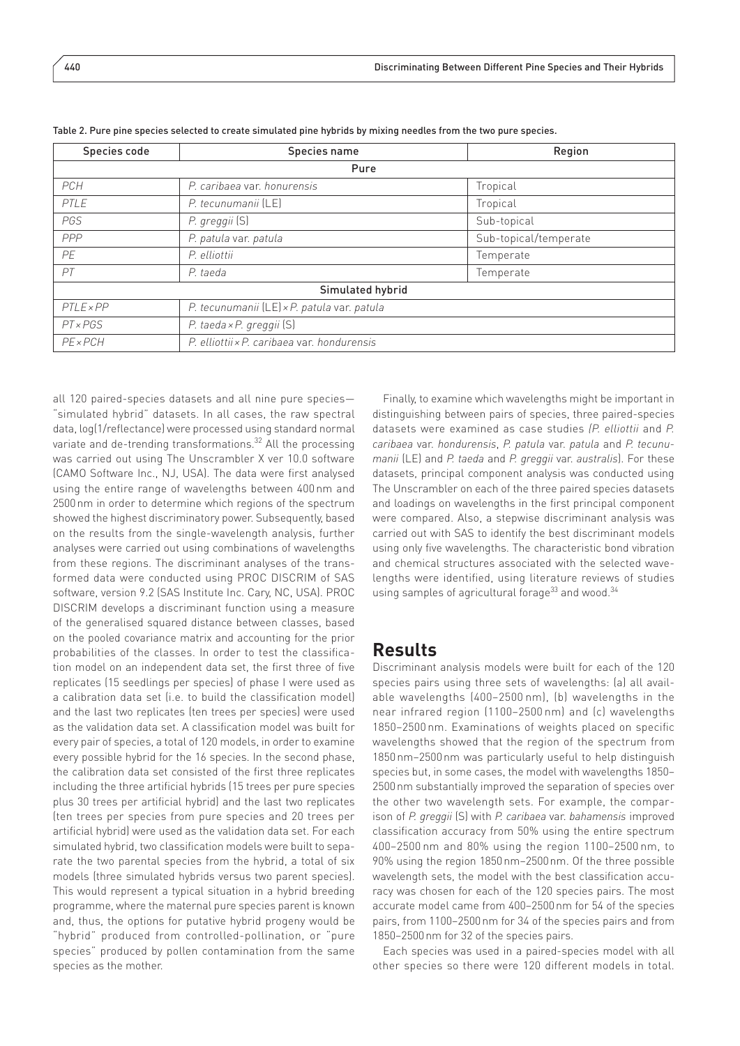| Species code    | Species name                                | Region                |  |  |  |  |  |  |  |  |
|-----------------|---------------------------------------------|-----------------------|--|--|--|--|--|--|--|--|
| Pure            |                                             |                       |  |  |  |  |  |  |  |  |
| <b>PCH</b>      | P. caribaea var. honurensis                 | Tropical              |  |  |  |  |  |  |  |  |
| PTLE            | P. tecunumanii (LE)                         | Tropical              |  |  |  |  |  |  |  |  |
| PGS             | P. greggii (S)                              | Sub-topical           |  |  |  |  |  |  |  |  |
| PPP             | P. patula var. patula                       | Sub-topical/temperate |  |  |  |  |  |  |  |  |
| PE              | P. elliottii                                | Temperate             |  |  |  |  |  |  |  |  |
| PT              | P. taeda                                    | Temperate             |  |  |  |  |  |  |  |  |
|                 | Simulated hybrid                            |                       |  |  |  |  |  |  |  |  |
| $PTLE\times PP$ | P. tecunumanii (LE) × P. patula var. patula |                       |  |  |  |  |  |  |  |  |
| PTxPGS          | P. taeda × P. greggii (S)                   |                       |  |  |  |  |  |  |  |  |
| $PE \times PCH$ | P. elliottii x P. caribaea var. hondurensis |                       |  |  |  |  |  |  |  |  |

Table 2. Pure pine species selected to create simulated pine hybrids by mixing needles from the two pure species.

all 120 paired-species datasets and all nine pure species— "simulated hybrid" datasets. In all cases, the raw spectral data, log(1/reflectance) were processed using standard normal variate and de-trending transformations.<sup>32</sup> All the processing was carried out using The Unscrambler X ver 10.0 software (CAMO Software Inc., NJ, USA). The data were first analysed using the entire range of wavelengths between 400nm and 2500nm in order to determine which regions of the spectrum showed the highest discriminatory power. Subsequently, based on the results from the single-wavelength analysis, further analyses were carried out using combinations of wavelengths from these regions. The discriminant analyses of the transformed data were conducted using PROC DISCRIM of SAS software, version 9.2 (SAS Institute Inc. Cary, NC, USA). PROC DISCRIM develops a discriminant function using a measure of the generalised squared distance between classes, based on the pooled covariance matrix and accounting for the prior probabilities of the classes. In order to test the classification model on an independent data set, the first three of five replicates (15 seedlings per species) of phase I were used as a calibration data set (i.e. to build the classification model) and the last two replicates (ten trees per species) were used as the validation data set. A classification model was built for every pair of species, a total of 120 models, in order to examine every possible hybrid for the 16 species. In the second phase, the calibration data set consisted of the first three replicates including the three artificial hybrids (15 trees per pure species plus 30 trees per artificial hybrid) and the last two replicates (ten trees per species from pure species and 20 trees per artificial hybrid) were used as the validation data set. For each simulated hybrid, two classification models were built to separate the two parental species from the hybrid, a total of six models (three simulated hybrids versus two parent species). This would represent a typical situation in a hybrid breeding programme, where the maternal pure species parent is known and, thus, the options for putative hybrid progeny would be "hybrid" produced from controlled-pollination, or "pure species" produced by pollen contamination from the same species as the mother.

Finally, to examine which wavelengths might be important in distinguishing between pairs of species, three paired-species datasets were examined as case studies *(P. elliottii* and *P. caribaea* var. *hondurensis*, *P. patula* var. *patula* and *P. tecunumanii* (LE) and *P. taeda* and *P. greggii* var. *australis*). For these datasets, principal component analysis was conducted using The Unscrambler on each of the three paired species datasets and loadings on wavelengths in the first principal component were compared. Also, a stepwise discriminant analysis was carried out with SAS to identify the best discriminant models using only five wavelengths. The characteristic bond vibration and chemical structures associated with the selected wavelengths were identified, using literature reviews of studies using samples of agricultural forage $^{33}$  and wood. $^{34}$ 

## **Results**

Discriminant analysis models were built for each of the 120 species pairs using three sets of wavelengths: (a) all available wavelengths (400–2500 nm), (b) wavelengths in the near infrared region (1100–2500 nm) and (c) wavelengths 1850–2500 nm. Examinations of weights placed on specific wavelengths showed that the region of the spectrum from 1850nm–2500nm was particularly useful to help distinguish species but, in some cases, the model with wavelengths 1850– 2500nm substantially improved the separation of species over the other two wavelength sets. For example, the comparison of *P. greggii* (S) with *P. caribaea* var. *bahamensis* improved classification accuracy from 50% using the entire spectrum 400–2500 nm and 80% using the region 1100–2500 nm, to 90% using the region 1850nm–2500nm. Of the three possible wavelength sets, the model with the best classification accuracy was chosen for each of the 120 species pairs. The most accurate model came from 400–2500nm for 54 of the species pairs, from 1100–2500nm for 34 of the species pairs and from 1850–2500nm for 32 of the species pairs.

Each species was used in a paired-species model with all other species so there were 120 different models in total.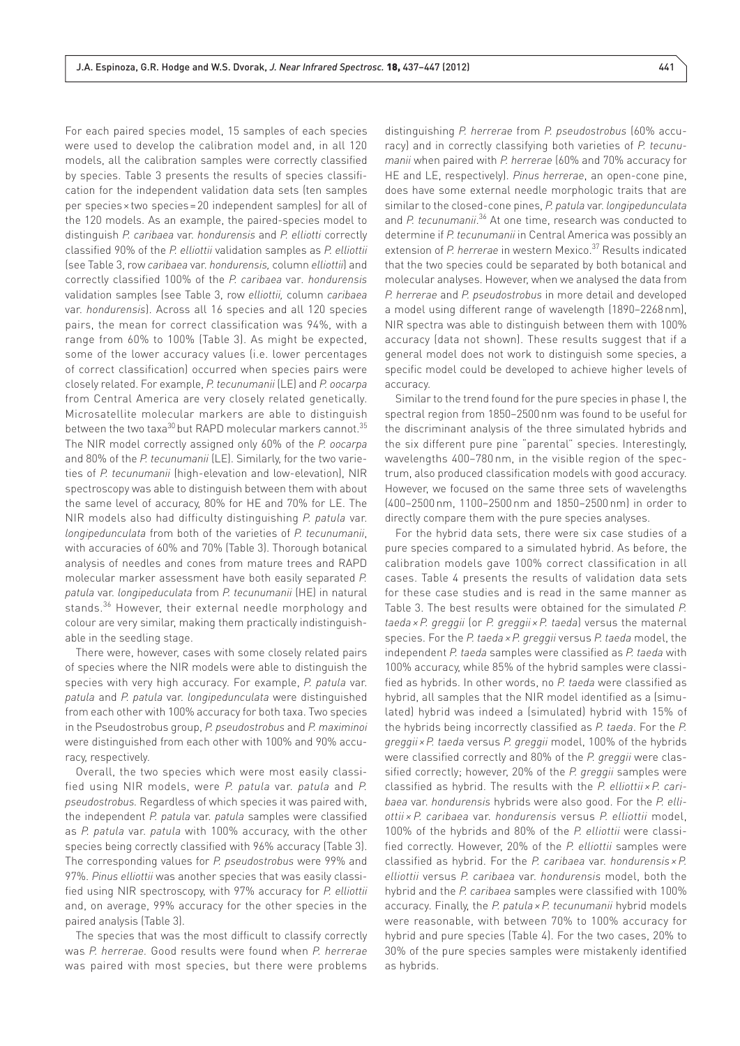For each paired species model, 15 samples of each species were used to develop the calibration model and, in all 120 models, all the calibration samples were correctly classified by species. Table 3 presents the results of species classification for the independent validation data sets (ten samples per species×two species=20 independent samples) for all of the 120 models. As an example, the paired-species model to distinguish *P. caribaea* var. *hondurensis* and *P. elliotti* correctly classified 90% of the *P. elliottii* validation samples as *P. elliottii* (see Table 3, row *caribaea* var. *hondurensis,* column *elliottii*) and correctly classified 100% of the *P. caribaea* var*. hondurensis*  validation samples (see Table 3, row *elliottii,* column *caribaea* var. *hondurensis*). Across all 16 species and all 120 species pairs, the mean for correct classification was 94%, with a range from 60% to 100% (Table 3). As might be expected, some of the lower accuracy values (i.e. lower percentages of correct classification) occurred when species pairs were closely related. For example, *P. tecunumanii* (LE) and *P. oocarpa* from Central America are very closely related genetically. Microsatellite molecular markers are able to distinguish between the two taxa<sup>30</sup> but RAPD molecular markers cannot.<sup>35</sup> The NIR model correctly assigned only 60% of the *P. oocarpa* and 80% of the *P. tecunumanii* (LE). Similarly, for the two varieties of *P. tecunumanii* (high-elevation and low-elevation), NIR spectroscopy was able to distinguish between them with about the same level of accuracy, 80% for HE and 70% for LE. The NIR models also had difficulty distinguishing *P. patula* var. *longipedunculata* from both of the varieties of *P. tecunumanii*, with accuracies of 60% and 70% (Table 3). Thorough botanical analysis of needles and cones from mature trees and RAPD molecular marker assessment have both easily separated *P. patula* var. *longipeduculata* from *P. tecunumanii* (HE) in natural stands.<sup>36</sup> However, their external needle morphology and colour are very similar, making them practically indistinguishable in the seedling stage.

There were, however, cases with some closely related pairs of species where the NIR models were able to distinguish the species with very high accuracy. For example, *P. patula* var. *patula* and *P. patula* var. *longipedunculata* were distinguished from each other with 100% accuracy for both taxa. Two species in the Pseudostrobus group, *P. pseudostrobus* and *P. maximinoi* were distinguished from each other with 100% and 90% accuracy, respectively.

Overall, the two species which were most easily classified using NIR models, were *P. patula* var. *patula* and *P. pseudostrobus.* Regardless of which species it was paired with, the independent *P. patula* var. *patula* samples were classified as *P. patula* var. *patula* with 100% accuracy, with the other species being correctly classified with 96% accuracy (Table 3). The corresponding values for *P. pseudostrobus* were 99% and 97%. *Pinus elliottii* was another species that was easily classified using NIR spectroscopy, with 97% accuracy for *P. elliottii* and, on average, 99% accuracy for the other species in the paired analysis (Table 3).

The species that was the most difficult to classify correctly was *P. herrerae.* Good results were found when *P. herrerae* was paired with most species, but there were problems distinguishing *P. herrerae* from *P. pseudostrobus* (60% accuracy) and in correctly classifying both varieties of *P. tecunumanii* when paired with *P. herrerae* (60% and 70% accuracy for HE and LE, respectively). *Pinus herrerae*, an open-cone pine, does have some external needle morphologic traits that are similar to the closed-cone pines, *P. patula* var. *longipedunculata* and P. tecunumanii.<sup>36</sup> At one time, research was conducted to determine if *P. tecunumanii* in Central America was possibly an extension of *P. herrerae* in western Mexico.37 Results indicated that the two species could be separated by both botanical and molecular analyses. However, when we analysed the data from *P. herrerae* and *P. pseudostrobus* in more detail and developed a model using different range of wavelength (1890–2268nm), NIR spectra was able to distinguish between them with 100% accuracy (data not shown). These results suggest that if a general model does not work to distinguish some species, a specific model could be developed to achieve higher levels of accuracy.

Similar to the trend found for the pure species in phase I, the spectral region from 1850–2500nm was found to be useful for the discriminant analysis of the three simulated hybrids and the six different pure pine "parental" species. Interestingly, wavelengths 400–780 nm, in the visible region of the spectrum, also produced classification models with good accuracy. However, we focused on the same three sets of wavelengths (400–2500 nm, 1100–2500 nm and 1850–2500 nm) in order to directly compare them with the pure species analyses.

For the hybrid data sets, there were six case studies of a pure species compared to a simulated hybrid. As before, the calibration models gave 100% correct classification in all cases. Table 4 presents the results of validation data sets for these case studies and is read in the same manner as Table 3. The best results were obtained for the simulated *P. taeda ×P. greggii* (or *P. greggii ×P. taeda*) versus the maternal species. For the *P. taeda ×P. greggii* versus *P. taeda* model, the independent *P. taeda* samples were classified as *P. taeda* with 100% accuracy, while 85% of the hybrid samples were classified as hybrids. In other words, no *P. taeda* were classified as hybrid, all samples that the NIR model identified as a (simulated) hybrid was indeed a (simulated) hybrid with 15% of the hybrids being incorrectly classified as *P. taeda*. For the *P. greggii ×P. taeda* versus *P. greggii* model, 100% of the hybrids were classified correctly and 80% of the *P. greggii* were classified correctly; however, 20% of the *P. greggii* samples were classified as hybrid. The results with the *P. elliottii × P. caribaea* var. *hondurensis* hybrids were also good. For the *P. elliottii × P. caribaea* var. *hondurensis* versus *P. elliottii* model, 100% of the hybrids and 80% of the *P. elliottii* were classified correctly. However, 20% of the *P. elliottii* samples were classified as hybrid. For the *P. caribaea* var. *hondurensis × P. elliottii* versus *P. caribaea* var. *hondurensis* model, both the hybrid and the *P. caribaea* samples were classified with 100% accuracy. Finally, the *P. patula ×P. tecunumanii* hybrid models were reasonable, with between 70% to 100% accuracy for hybrid and pure species (Table 4). For the two cases, 20% to 30% of the pure species samples were mistakenly identified as hybrids.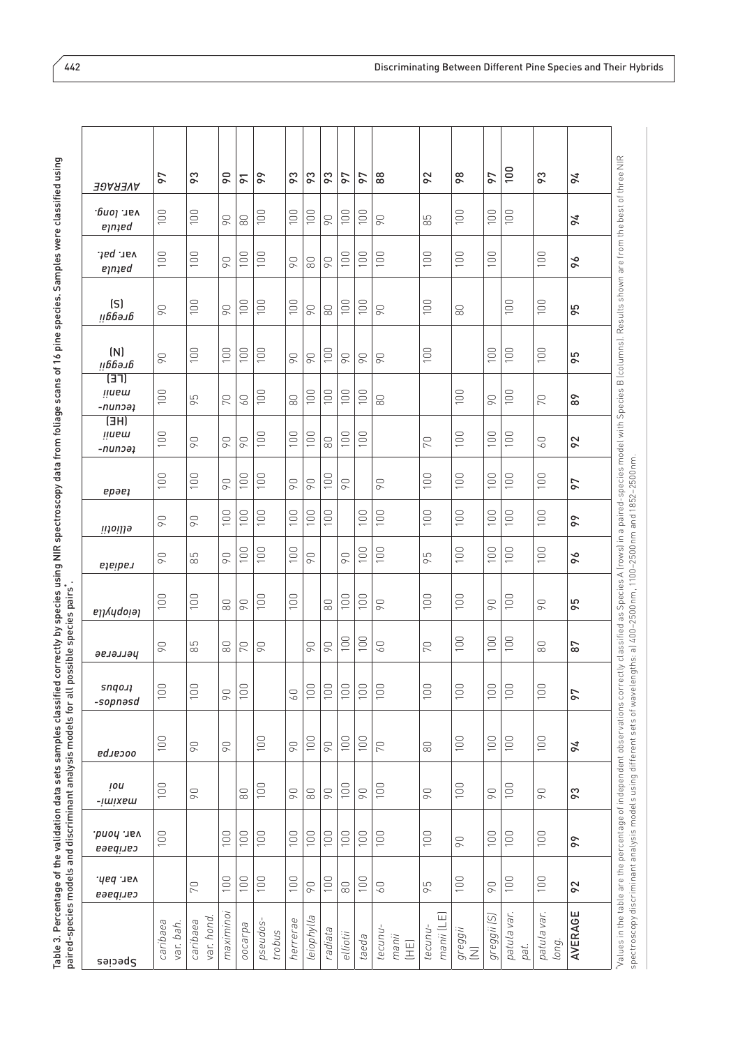| ì<br>i<br>ت<br>د<br>$-20$ at $74$ mino c.                                                          |                                                                       |
|----------------------------------------------------------------------------------------------------|-----------------------------------------------------------------------|
| $\overline{\phantom{a}}$<br>í                                                                      |                                                                       |
| l<br>assifie<br>$\ddot{\phantom{0}}$<br>ı<br>ļ<br>ï<br>j<br>í<br>ļ<br>I<br>ı<br>.<br>!<br>י<br>ׇ֚֘ | ;<br>n n<br>j<br>Ξ<br>ì<br>ׇ֚֘֝֬<br>j<br>$\frac{1}{1}$<br>ı<br>ť<br>۱ |

| AVERAGE                                     | 97                    | 83                    | $\overline{6}$  | $\overline{6}$  | 66                | ႙ၟ              | 83         | 83              | 97              | 97       | $\frac{8}{8}$                                                                | 92                       | 98             | 97             | $\frac{100}{2}$     | 83                   | 76      |                                                                                                                                                                                                          |
|---------------------------------------------|-----------------------|-----------------------|-----------------|-----------------|-------------------|-----------------|------------|-----------------|-----------------|----------|------------------------------------------------------------------------------|--------------------------|----------------|----------------|---------------------|----------------------|---------|----------------------------------------------------------------------------------------------------------------------------------------------------------------------------------------------------------|
| var. long.<br>eynaed                        | 100                   | 100                   | $\infty$        | $\rm 80$        | 100               | 100             | 100        | $\overline{90}$ | 100             | 100      | 90                                                                           | 85                       | 100            | 100            | 100                 |                      | 76      |                                                                                                                                                                                                          |
| var. pat.<br>eynied                         | 100                   | 100                   | $\infty$        | 100             | 100               | $\infty$        | $\infty$   | $\infty$        | 100             | 100      | 100                                                                          | 100                      | 100            | 100            |                     | 100                  | 96      |                                                                                                                                                                                                          |
| (S)<br>пррэтр                               | 90                    | 100                   | $\infty$        | 100             | 100               | 100             | $\infty$   | $\rm ^{\rm 80}$ | 100             | 100      | 90                                                                           | 100                      | $\infty$       |                | 100                 | 100                  | 95      | ectly classified as Species A (rows) in a paired-species model with Species B (columns). Results shown are from the best of three NIR                                                                    |
| (N)<br>првэл                                | 90                    | 100                   | 100             | 100             | 100               | $\infty$        | 90         | 100             | 90              | $\infty$ | 90                                                                           | 100                      |                | 100            | 100                 | 100                  | 95      |                                                                                                                                                                                                          |
| (TE)<br><b>H</b> uem<br>-nunoa <sub>1</sub> | 100                   | 95                    | 70              | 60              | 100               | $\infty$        | 100        | 100             | 100             | 100      | $\infty$                                                                     |                          | 100            | $\overline{6}$ | 100                 | 70                   | 89      |                                                                                                                                                                                                          |
| (HE)<br><b>linsm</b><br>-nunoəi             | 100                   | $\overline{90}$       | $\infty$        | $\overline{90}$ | 100               | 100             | 100        | $\infty$        | 100             | 100      |                                                                              | 70                       | 100            | 100            | 100                 | $\overline{60}$      | 92      |                                                                                                                                                                                                          |
| ерәе;                                       | 100                   | 100                   | $\overline{90}$ | 100             | 100               | $\infty$        | $\infty$   | 100             | 90              |          | $\infty$                                                                     | 100                      | 100            | 100            | 100                 | 100                  | 97      |                                                                                                                                                                                                          |
| ellioiii                                    | 90                    | $\overline{90}$       | 100             | 100             | 100               | 100             | 100        | 100             |                 | 100      | 100                                                                          | 100                      | 100            | 100            | 100                 | 100                  | 66      |                                                                                                                                                                                                          |
| ejeiber                                     | 90                    | 85                    | $\overline{90}$ | 100             | 100               | 100             | $\infty$   |                 | $\overline{90}$ | 100      | 100                                                                          | 95                       | 100            | 100            | 100                 | 100                  | 96      |                                                                                                                                                                                                          |
| leiophylla                                  | 100                   | 100                   | $\odot$         | 90              | 100               | 100             |            | $\infty$        | 100             | 100      | 90                                                                           | 100                      | 100            | 90             | 100                 | 90                   | 95      |                                                                                                                                                                                                          |
| эвлэлэд                                     | 90                    | 85                    | $\rm ^{\rm 6}$  | 70              | 90                |                 | $\infty$   | <b>D6</b>       | 100             | 100      | $\overline{0}$                                                               | 70                       | 100            | 100            | 100                 | $\infty$             | 87      |                                                                                                                                                                                                          |
| snqo.ı<br>-sopnasd                          | 100                   | 100                   | 90              | 100             |                   | $\overline{60}$ | 100        | 100             | 100             | 100      | 100                                                                          | 100                      | 100            | 100            | 100                 | 100                  | 97      |                                                                                                                                                                                                          |
| <i>ed.ieooo</i>                             | 100                   | 90                    | 90              |                 | 100               | $\infty$        | 100        | $\infty$        | 100             | 100      | 70                                                                           | $\rm 80$                 | 100            | 100            | 100                 | 100                  | 94      |                                                                                                                                                                                                          |
| lou<br>-jwixew                              | 100                   | 90                    |                 | $\odot$         | 100               | $\infty$        | $\odot$    | $\infty$        | 100             | $\infty$ | 100                                                                          | $\beta$ <sup>O</sup>     | 100            | 90             | 100                 | 90                   | 83      |                                                                                                                                                                                                          |
| var. hond.<br>caribaea                      | 100                   |                       | 100             | 100             | 100               | 100             | 100        | 100             | 100             | 100      | 100                                                                          | 100                      | 90             | 100            | 100                 | 100                  | 99      |                                                                                                                                                                                                          |
| var. bah.<br>caribaea                       |                       | 70                    | 100             | 100             | 100               | 100             | $\infty$   | 100             | $_{\rm 80}$     | 100      | 60                                                                           | 95                       | 100            | 90             | 100                 | 100                  | 92      |                                                                                                                                                                                                          |
| Species                                     | caribaea<br>var. bah. | var. hond<br>caribaea | maximino.       | pdrepoo         | pseudos<br>trobus | herrerae        | leiophylla | radiata         | elliotii        | taeda    | tecunu<br>manii<br>$\begin{array}{c} \boxed{\pm} \\ \boxed{\pm} \end{array}$ | 同<br>manii (L<br>tecunu- | greggii<br>(N) | greggii (S)    | patula var.<br>pat. | patula var.<br>long. | AVERAGE | spectroscopy discriminant analysis models using different sets of wavelengths: a) 400-2500 nm, 1100-2500 nm and 1852-2500 nm.<br>Values in the table are the percentage of independent observations corr |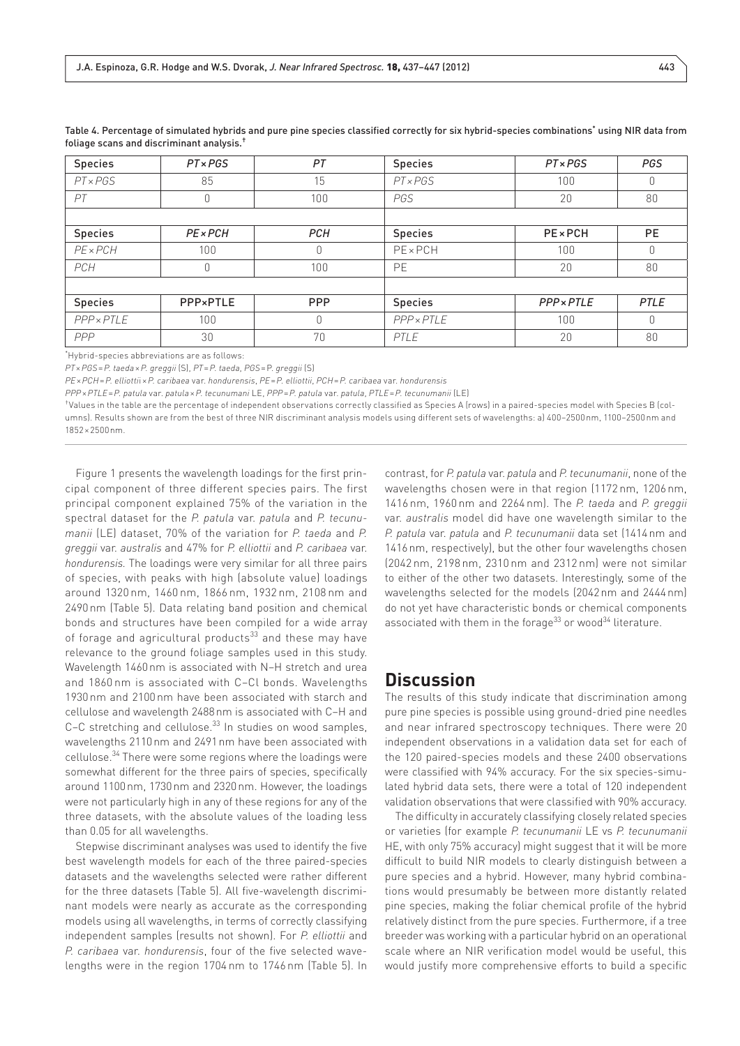| <b>Species</b>  | $PT \times PGS$ | PT         | <b>Species</b>  | $PT \times PGS$        | <b>PGS</b> |
|-----------------|-----------------|------------|-----------------|------------------------|------------|
| $PT \times PGS$ | 85              | 15         | PTxPGS          | 100                    | 0          |
| PT              | 0               | 100        | PGS             | 20                     | 80         |
|                 |                 |            |                 |                        |            |
| <b>Species</b>  | $PE \times PCH$ | <b>PCH</b> | <b>Species</b>  | <b>PE</b> × <b>PCH</b> | <b>PE</b>  |
| $PE \times PCH$ | 100             | 0          | $PE \times PCH$ | 100                    | $\theta$   |
| PCH             | 0               | 100        | PE              | 20                     | 80         |
|                 |                 |            |                 |                        |            |
| <b>Species</b>  | PPP×PTLE        | <b>PPP</b> | <b>Species</b>  | <b>PPP</b> × PTLE      | PTLE       |
| PPP × PTLE      | 100             | 0          | PPP × PTLE      | 100                    | $\Omega$   |
| PPP             | 30              | 70         | PTLE            | 20                     | 80         |

Table 4. Percentage of simulated hybrids and pure pine species classified correctly for six hybrid-species combinations\* using NIR data from foliage scans and discriminant analysis.†

\* Hybrid-species abbreviations are as follows:

*PT*×*PGS*=*P. taeda*×*P. greggii* (S), *PT*=*P. taeda*, *PGS*=P. *greggii* (S)

*PE*×*PCH*=*P. elliotti*i×*P. caribaea* var. *hondurensis*, *PE*=*P. elliottii*, *PCH*=*P. caribaea* var. *hondurensis*

*PPP*×*PTLE*=*P. patula* var. *patula*×*P. tecunumani* LE, *PPP*=*P. patula* var. *patula*, *PTLE*=*P. tecunumanii* (LE)

†Values in the table are the percentage of independent observations correctly classified as Species A (rows) in a paired-species model with Species B (columns). Results shown are from the best of three NIR discriminant analysis models using different sets of wavelengths: a) 400–2500nm, 1100–2500nm and 1852×2500nm.

Figure 1 presents the wavelength loadings for the first principal component of three different species pairs. The first principal component explained 75% of the variation in the spectral dataset for the *P. patula* var. *patula* and *P. tecunumanii* (LE) dataset, 70% of the variation for *P. taeda* and *P. greggii* var. *australis* and 47% for *P. elliottii* and *P. caribaea* var. *hondurensis.* The loadings were very similar for all three pairs of species, with peaks with high (absolute value) loadings around 1320 nm, 1460 nm, 1866 nm, 1932 nm, 2108 nm and 2490nm (Table 5). Data relating band position and chemical bonds and structures have been compiled for a wide array of forage and agricultural products $33$  and these may have relevance to the ground foliage samples used in this study. Wavelength 1460nm is associated with N–H stretch and urea and 1860 nm is associated with C–Cl bonds. Wavelengths 1930nm and 2100nm have been associated with starch and cellulose and wavelength 2488nm is associated with C–H and C-C stretching and cellulose.<sup>33</sup> In studies on wood samples, wavelengths 2110nm and 2491nm have been associated with cellulose.34 There were some regions where the loadings were somewhat different for the three pairs of species, specifically around 1100nm, 1730nm and 2320nm. However, the loadings were not particularly high in any of these regions for any of the three datasets, with the absolute values of the loading less than 0.05 for all wavelengths.

Stepwise discriminant analyses was used to identify the five best wavelength models for each of the three paired-species datasets and the wavelengths selected were rather different for the three datasets (Table 5). All five-wavelength discriminant models were nearly as accurate as the corresponding models using all wavelengths, in terms of correctly classifying independent samples (results not shown). For *P. elliottii* and *P. caribaea* var. *hondurensis*, four of the five selected wavelengths were in the region 1704 nm to 1746 nm (Table 5). In contrast, for *P. patula* var. *patula* and *P. tecunumanii*, none of the wavelengths chosen were in that region (1172 nm, 1206 nm, 1416 nm, 1960 nm and 2264 nm). The *P. taeda* and *P. greggii* var. *australis* model did have one wavelength similar to the *P. patula* var. *patula* and *P. tecunumanii* data set (1414nm and 1416nm, respectively), but the other four wavelengths chosen (2042 nm, 2198 nm, 2310 nm and 2312 nm) were not similar to either of the other two datasets. Interestingly, some of the wavelengths selected for the models (2042nm and 2444nm) do not yet have characteristic bonds or chemical components associated with them in the forage $^{33}$  or wood $^{34}$  literature.

## **Discussion**

The results of this study indicate that discrimination among pure pine species is possible using ground-dried pine needles and near infrared spectroscopy techniques. There were 20 independent observations in a validation data set for each of the 120 paired-species models and these 2400 observations were classified with 94% accuracy. For the six species-simulated hybrid data sets, there were a total of 120 independent validation observations that were classified with 90% accuracy.

The difficulty in accurately classifying closely related species or varieties (for example *P. tecunumanii* LE vs *P. tecunumanii* HE, with only 75% accuracy) might suggest that it will be more difficult to build NIR models to clearly distinguish between a pure species and a hybrid. However, many hybrid combinations would presumably be between more distantly related pine species, making the foliar chemical profile of the hybrid relatively distinct from the pure species. Furthermore, if a tree breeder was working with a particular hybrid on an operational scale where an NIR verification model would be useful, this would justify more comprehensive efforts to build a specific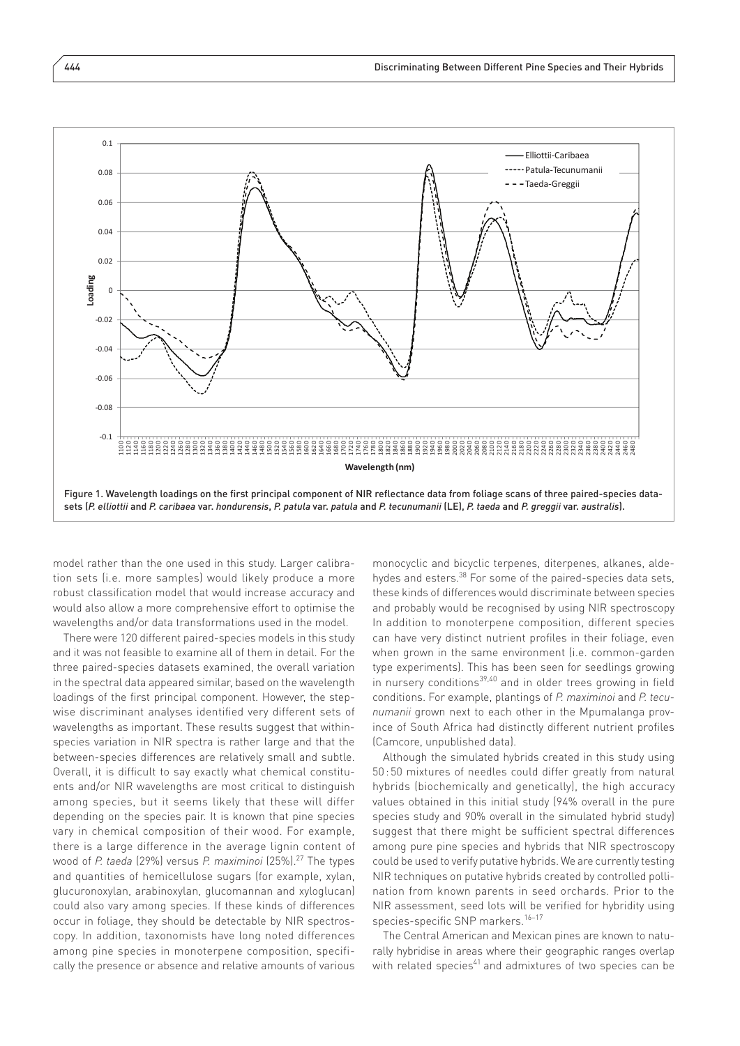

species datasets *(P. elliottii* and *P. caribaea* var. *hondurensis*, *P. patula* var. *patula* and *P. tecunumanii* (LE), *P. taeda* and *P.*

model rather than the one used in this study. Larger calibration sets (i.e. more samples) would likely produce a more robust classification model that would increase accuracy and would also allow a more comprehensive effort to optimise the wavelengths and/or data transformations used in the model.

There were 120 different paired-species models in this study and it was not feasible to examine all of them in detail. For the three paired-species datasets examined, the overall variation in the spectral data appeared similar, based on the wavelength loadings of the first principal component. However, the stepwise discriminant analyses identified very different sets of wavelengths as important. These results suggest that withinspecies variation in NIR spectra is rather large and that the between-species differences are relatively small and subtle. Overall, it is difficult to say exactly what chemical constituents and/or NIR wavelengths are most critical to distinguish among species, but it seems likely that these will differ depending on the species pair. It is known that pine species vary in chemical composition of their wood. For example, there is a large difference in the average lignin content of wood of *P. taeda* (29%) versus *P. maximinoi* (25%).<sup>27</sup> The types and quantities of hemicellulose sugars (for example, [xylan](http://en.wikipedia.org/wiki/Xylan" \o "Xylan), glucuronoxylan, [arabinoxylan,](http://en.wikipedia.org/wiki/Arabinoxylan" \o "Arabinoxylan) [glucomannan](http://en.wikipedia.org/wiki/Glucomannan" \o "Glucomannan) and [xyloglucan](http://en.wikipedia.org/wiki/Xyloglucan" \o "Xyloglucan)) could also vary among species. If these kinds of differences occur in foliage, they should be detectable by NIR spectroscopy. In addition, taxonomists have long noted differences among pine species in monoterpene composition, specifically the presence or absence and relative amounts of various

monocyclic and bicyclic terpenes, diterpenes, alkanes, aldehydes and esters.38 For some of the paired-species data sets, these kinds of differences would discriminate between species and probably would be recognised by using NIR spectroscopy In addition to monoterpene composition, different species can have very distinct nutrient profiles in their foliage, even when grown in the same environment (i.e. common-garden type experiments). This has been seen for seedlings growing in nursery conditions<sup>39,40</sup> and in older trees growing in field conditions. For example, plantings of *P. maximinoi* and *P. tecunumanii* grown next to each other in the Mpumalanga province of South Africa had distinctly different nutrient profiles (Camcore, unpublished data).

Although the simulated hybrids created in this study using 50 : 50 mixtures of needles could differ greatly from natural hybrids (biochemically and genetically), the high accuracy values obtained in this initial study (94% overall in the pure species study and 90% overall in the simulated hybrid study) suggest that there might be sufficient spectral differences among pure pine species and hybrids that NIR spectroscopy could be used to verify putative hybrids. We are currently testing NIR techniques on putative hybrids created by controlled pollination from known parents in seed orchards. Prior to the NIR assessment, seed lots will be verified for hybridity using species-specific SNP markers.<sup>16-17</sup>

The Central American and Mexican pines are known to naturally hybridise in areas where their geographic ranges overlap with related species<sup>41</sup> and admixtures of two species can be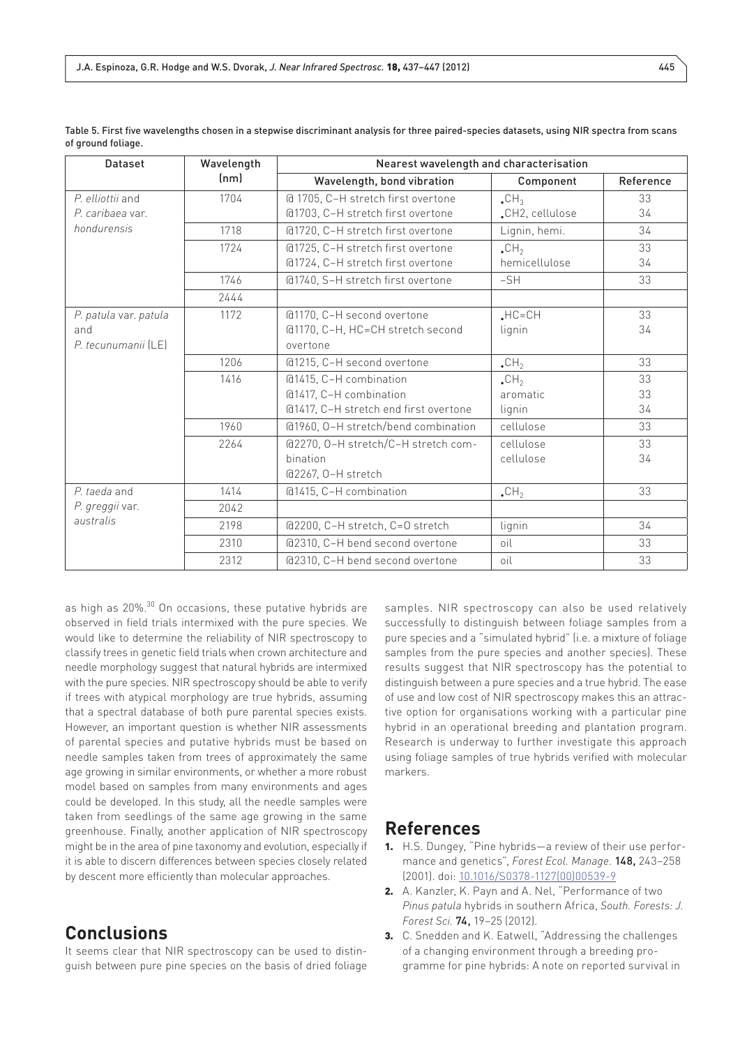| <b>Dataset</b>        | Wavelength | Nearest wavelength and characterisation |                         |           |  |  |  |  |
|-----------------------|------------|-----------------------------------------|-------------------------|-----------|--|--|--|--|
|                       | (nm)       | Wavelength, bond vibration              | Component               | Reference |  |  |  |  |
| P. elliottii and      | 1704       | @ 1705, C-H stretch first overtone      | $\cdot$ CH <sub>3</sub> | 33        |  |  |  |  |
| P. caribaea var.      |            | @1703, C-H stretch first overtone       | "CH2, cellulose         | 34        |  |  |  |  |
| hondurensis           | 1718       | @1720, C-H stretch first overtone       | Lignin, hemi.           | 34        |  |  |  |  |
|                       | 1724       | @1725, C-H stretch first overtone       | $\cdot$ CH <sub>2</sub> | 33        |  |  |  |  |
|                       |            | @1724, C-H stretch first overtone       | hemicellulose           | 34        |  |  |  |  |
|                       | 1746       | @1740, S-H stretch first overtone       | $-SH$                   | 33        |  |  |  |  |
|                       | 2444       |                                         |                         |           |  |  |  |  |
| P. patula var. patula | 1172       | @1170, C-H second overtone              | $HC = CH$               | 33        |  |  |  |  |
| and                   |            | @1170, C-H, HC=CH stretch second        | lignin                  | 34        |  |  |  |  |
| P. tecunumanii (LE)   |            | overtone                                |                         |           |  |  |  |  |
|                       | 1206       | @1215, C-H second overtone              | $\cdot$ CH <sub>2</sub> | 33        |  |  |  |  |
|                       | 1416       | @1415, C-H combination                  | $\cdot$ CH <sub>2</sub> | 33        |  |  |  |  |
|                       |            | @1417, C-H combination                  | aromatic                | 33        |  |  |  |  |
|                       |            | @1417, C-H stretch end first overtone   | lignin                  | 34        |  |  |  |  |
|                       | 1960       | @1960, O-H stretch/bend combination     | cellulose               | 33        |  |  |  |  |
|                       | 2264       | @2270, O-H stretch/C-H stretch com-     | cellulose               | 33        |  |  |  |  |
|                       |            | bination                                | cellulose               | 34        |  |  |  |  |
|                       |            | @2267, O-H stretch                      |                         |           |  |  |  |  |
| P. taeda and          | 1414       | @1415, C-H combination                  | $\cdot$ CH <sub>2</sub> | 33        |  |  |  |  |
| P. greggii var.       | 2042       |                                         |                         |           |  |  |  |  |
| australis             | 2198       | @2200, C-H stretch, C=O stretch         | lignin                  | 34        |  |  |  |  |
|                       | 2310       | @2310, C-H bend second overtone         | oil                     | 33        |  |  |  |  |
|                       | 2312       | @2310, C-H bend second overtone         | oil                     | 33        |  |  |  |  |

Table 5. First five wavelengths chosen in a stepwise discriminant analysis for three paired-species datasets, using NIR spectra from scans of ground foliage.

as high as 20%.<sup>30</sup> On occasions, these putative hybrids are observed in field trials intermixed with the pure species. We would like to determine the reliability of NIR spectroscopy to classify trees in genetic field trials when crown architecture and needle morphology suggest that natural hybrids are intermixed with the pure species. NIR spectroscopy should be able to verify if trees with atypical morphology are true hybrids, assuming that a spectral database of both pure parental species exists. However, an important question is whether NIR assessments of parental species and putative hybrids must be based on needle samples taken from trees of approximately the same age growing in similar environments, or whether a more robust model based on samples from many environments and ages could be developed. In this study, all the needle samples were taken from seedlings of the same age growing in the same greenhouse. Finally, another application of NIR spectroscopy might be in the area of pine taxonomy and evolution, especially if it is able to discern differences between species closely related by descent more efficiently than molecular approaches.

# **Conclusions**

It seems clear that NIR spectroscopy can be used to distinguish between pure pine species on the basis of dried foliage samples. NIR spectroscopy can also be used relatively successfully to distinguish between foliage samples from a pure species and a "simulated hybrid" (i.e. a mixture of foliage samples from the pure species and another species). These results suggest that NIR spectroscopy has the potential to distinguish between a pure species and a true hybrid. The ease of use and low cost of NIR spectroscopy makes this an attractive option for organisations working with a particular pine hybrid in an operational breeding and plantation program. Research is underway to further investigate this approach using foliage samples of true hybrids verified with molecular markers.

## **References**

- 1. H.S. Dungey, "Pine hybrids—a review of their use performance and genetics", *Forest Ecol. Manage*. 148, 243–258 (2001). doi: [10.1016/S0378-1127\(00\)00539-9](http://dx.doi.org/10.1016/S0378-1127%2800%2900539-9" \t "_blank)
- 2. A. Kanzler, K. Payn and A. Nel, "Performance of two *Pinus patula* hybrids in southern Africa, *South. Forests: J. Forest Sci.* 74, 19–25 (2012).
- 3. C. Snedden and K. Eatwell, "Addressing the challenges of a changing environment through a breeding programme for pine hybrids: A note on reported survival in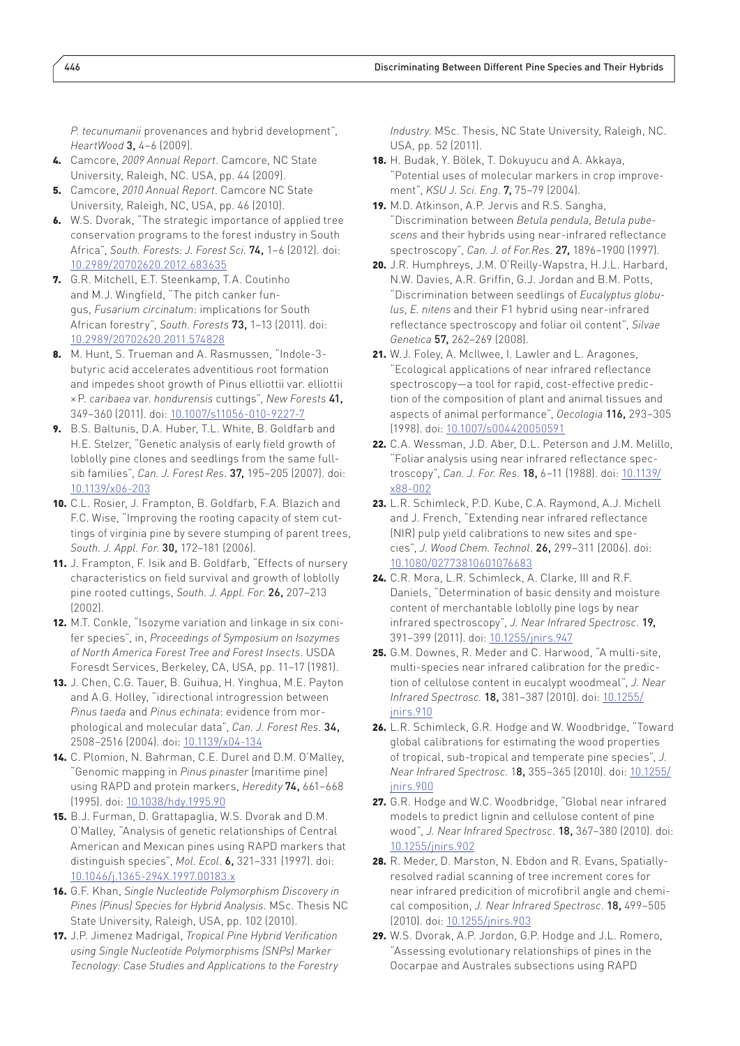*P. tecunumanii* provenances and hybrid development", *HeartWood* 3, 4–6 (2009).

- 4. Camcore, *2009 Annual Report*. Camcore, NC State University, Raleigh, NC. USA, pp. 44 (2009).
- 5. Camcore, *2010 Annual Report*. Camcore NC State University, Raleigh, NC, USA, pp. 46 (2010).
- 6. W.S. Dvorak, "The strategic importance of applied tree conservation programs to the forest industry in South Africa", *South. Forests: J. Forest Sci*. 74, 1–6 (2012). doi: [10.2989/20702620.2012.683635](http://dx.doi.org/10.2989/20702620.2012.683635" \t "_blank)
- 7. G.R. Mitchell, E.T. Steenkamp, T.A. Coutinho and M.J. Wingfield, "The pitch canker fungus, *Fusarium circinatum*: implications for South African forestry", *South. Forests* 73, 1–13 (2011). doi: [10.2989/20702620.2011.574828](http://dx.doi.org/10.2989/20702620.2011.574828" \t "_blank)
- 8. M. Hunt, S. Trueman and A. Rasmussen, "Indole-3 butyric acid accelerates adventitious root formation and impedes shoot growth of Pinus elliottii var. elliottii ×P. *caribaea* var. *hondurensis* cuttings", *New Forests* 41, 349–360 (2011). doi: [10.1007/s11056-010-9227-7](http://dx.doi.org/10.1007/s11056-010-9227-7" \t "_blank)
- 9. B.S. Baltunis, D.A. Huber, T.L. White, B. Goldfarb and H.E. Stelzer, "Genetic analysis of early field growth of loblolly pine clones and seedlings from the same fullsib families", *Can. J. Forest Res*. 37, 195–205 (2007). doi: [10.1139/x06-203](http://dx.doi.org/10.1139/x06-203" \t "_blank)
- 10. C.L. Rosier, J. Frampton, B. Goldfarb, F.A. Blazich and F.C. Wise, "Improving the rooting capacity of stem cuttings of virginia pine by severe stumping of parent trees, *South. J. Appl. For*. 30, 172–181 (2006).
- 11. J. Frampton, F. Isik and B. Goldfarb, "Effects of nursery characteristics on field survival and growth of loblolly pine rooted cuttings, *South. J. Appl. For*. 26, 207–213 (2002).
- 12. M.T. Conkle, "Isozyme variation and linkage in six conifer species", in, *Proceedings of Symposium on Isozymes of North America Forest Tree and Forest Insects*. USDA Foresdt Services, Berkeley, CA, USA, pp. 11–17 (1981).
- 13. J. Chen, C.G. Tauer, B. Guihua, H. Yinghua, M.E. Payton and A.G. Holley, "idirectional introgression between *Pinus taeda* and *Pinus echinata*: evidence from morphological and molecular data", *Can. J. Forest Res*. 34, 2508–2516 (2004). doi: [10.1139/x04-134](http://dx.doi.org/10.1139/x04-134" \t "_blank)
- 14. C. Plomion, N. Bahrman, C.E. Durel and D.M. O'Malley, "Genomic mapping in *Pinus pinaster* (maritime pine) using RAPD and protein markers, *Heredity* 74, 661–668 (1995). doi: [10.1038/hdy.1995.90](http://dx.doi.org/10.1038/hdy.1995.90" \t "_blank)
- 15. B.J. Furman, D. Grattapaglia, W.S. Dvorak and D.M. O'Malley, "Analysis of genetic relationships of Central American and Mexican pines using RAPD markers that distinguish species", *Mol. Ecol*. 6, 321–331 (1997). doi: [10.1046/j.1365-294X.1997.00183.x](http://dx.doi.org/10.1046/j.1365-294X.1997.00183.x" \t "_blank)
- 16. G.F. Khan, *Single Nucleotide Polymorphism Discovery in Pines (Pinus) Species for Hybrid Analysis*. MSc. Thesis NC State University, Raleigh, USA, pp. 102 (2010).
- 17. J.P. Jimenez Madrigal, *Tropical Pine Hybrid Verification using Single Nucleotide Polymorphisms (SNPs) Marker Tecnology: Case Studies and Applications to the Forestry*

*Industry*. MSc. Thesis, NC State University, Raleigh, NC. USA, pp. 52 (2011).

- 18. H. Budak, Y. Bölek, T. Dokuyucu and A. Akkaya, "Potential uses of molecular markers in crop improvement", *KSU J. Sci. Eng*. 7, 75–79 (2004).
- 19. M.D. Atkinson, A.P. Jervis and R.S. Sangha, "Discrimination between *Betula pendula*, *Betula pubescens* and their hybrids using near-infrared reflectance spectroscopy", *Can. J. of For.Res*. 27, 1896–1900 (1997).
- 20. J.R. Humphreys, J.M. O'Reilly-Wapstra, H.J.L. Harbard, N.W. Davies, A.R. Griffin, G.J. Jordan and B.M. Potts, "Discrimination between seedlings of *Eucalyptus globulus*, *E. nitens* and their F1 hybrid using near-infrared reflectance spectroscopy and foliar oil content", *Silvae Genetica* 57, 262–269 (2008).
- 21. W.J. Foley, A. McIlwee, I. Lawler and L. Aragones, "Ecological applications of near infrared reflectance spectroscopy—a tool for rapid, cost-effective prediction of the composition of plant and animal tissues and aspects of animal performance", *Oecologia* 116, 293–305 (1998). doi: [10.1007/s004420050591](http://dx.doi.org/10.1007/s004420050591" \t "_blank)
- 22. C.A. Wessman, J.D. Aber, D.L. Peterson and J.M. Melillo, "Foliar analysis using near infrared reflectance spectroscopy", *Can. J. For. Res*. 18, 6–11 (1988). doi: [10.1139/](http://dx.doi.org/10.1139/x88-002" \t "_blank) [x88-002](http://dx.doi.org/10.1139/x88-002" \t "_blank)
- 23. L.R. Schimleck, P.D. Kube, C.A. Raymond, A.J. Michell and J. French, "Extending near infrared reflectance (NIR) pulp yield calibrations to new sites and species", *J. Wood Chem. Technol*. 26, 299–311 (2006). doi: [10.1080/02773810601076683](http://dx.doi.org/10.1080/02773810601076683" \t "_blank)
- 24. C.R. Mora, L.R. Schimleck, A. Clarke, III and R.F. Daniels, "Determination of basic density and moisture content of merchantable loblolly pine logs by near infrared spectroscopy", *J. Near Infrared Spectrosc*. 19, 391–399 (2011). doi: [10.1255/jnirs.947](http://dx.doi.org/10.1255/jnirs.947" \t "_blank)
- 25. G.M. Downes, R. Meder and C. Harwood, "A multi-site, multi-species near infrared calibration for the prediction of cellulose content in eucalypt woodmeal", *J. Near Infrared Spectrosc.* 18, 381–387 (2010). doi: [10.1255/](http://dx.doi.org/10.1255/jnirs.910" \t "_blank) [jnirs.910](http://dx.doi.org/10.1255/jnirs.910" \t "_blank)
- 26. L.R. Schimleck, G.R. Hodge and W. Woodbridge, "Toward global calibrations for estimating the wood properties of tropical, sub-tropical and temperate pine species", *J. Near Infrared Spectrosc.* 18, 355–365 (2010). doi: [10.1255/](http://dx.doi.org/10.1255/jnirs.900" \t "_blank) [jnirs.900](http://dx.doi.org/10.1255/jnirs.900" \t "_blank)
- 27. G.R. Hodge and W.C. Woodbridge, "Global near infrared models to predict lignin and cellulose content of pine wood", *J. Near Infrared Spectrosc*. 18, 367–380 (2010). doi: [10.1255/jnirs.902](http://dx.doi.org/10.1255/jnirs.902" \t "_blank)
- 28. R. Meder, D. Marston, N. Ebdon and R. Evans, Spatiallyresolved radial scanning of tree increment cores for near infrared predicition of microfibril angle and chemical composition, *J. Near Infrared Spectrosc*. 18, 499–505 (2010). doi: [10.1255/jnirs.903](http://dx.doi.org/10.1255/jnirs.903" \t "_blank)
- 29. W.S. Dvorak, A.P. Jordon, G.P. Hodge and J.L. Romero, "Assessing evolutionary relationships of pines in the Oocarpae and Australes subsections using RAPD